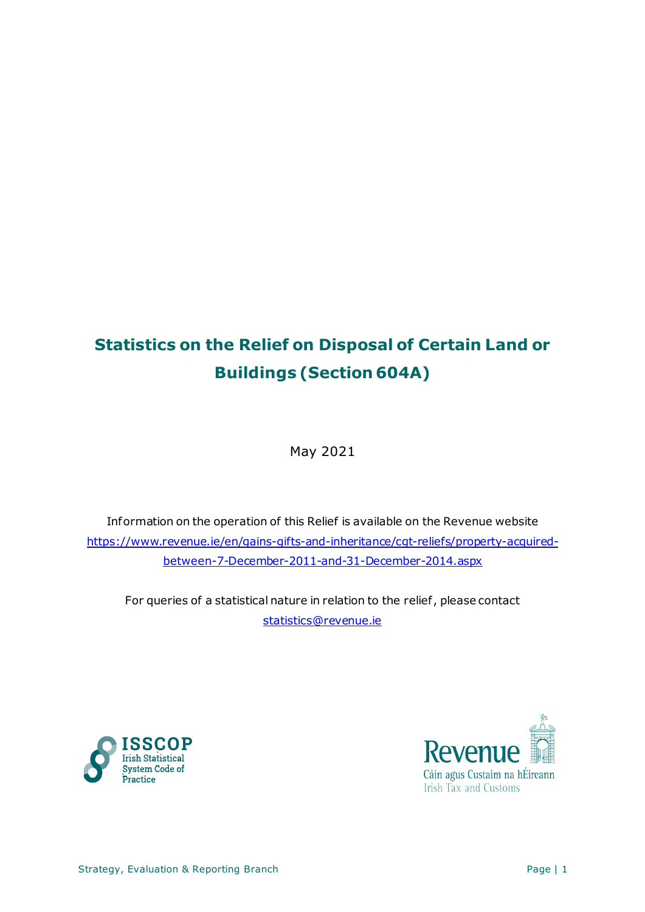# **Statistics on the Relief on Disposal of Certain Land or Buildings (Section 604A)**

May 2021

Information on the operation of this Relief is available on the Revenue website [https://www.revenue.ie/en/gains-gifts-and-inheritance/cgt-reliefs/property-acquired](https://www.revenue.ie/en/gains-gifts-and-inheritance/cgt-reliefs/property-acquired-between-7-December-2011-and-31-December-2014.aspx)[between-7-December-2011-and-31-December-2014.aspx](https://www.revenue.ie/en/gains-gifts-and-inheritance/cgt-reliefs/property-acquired-between-7-December-2011-and-31-December-2014.aspx)

For queries of a statistical nature in relation to the relief , please contact [statistics@revenue.ie](mailto:statistics@revenue.ie)



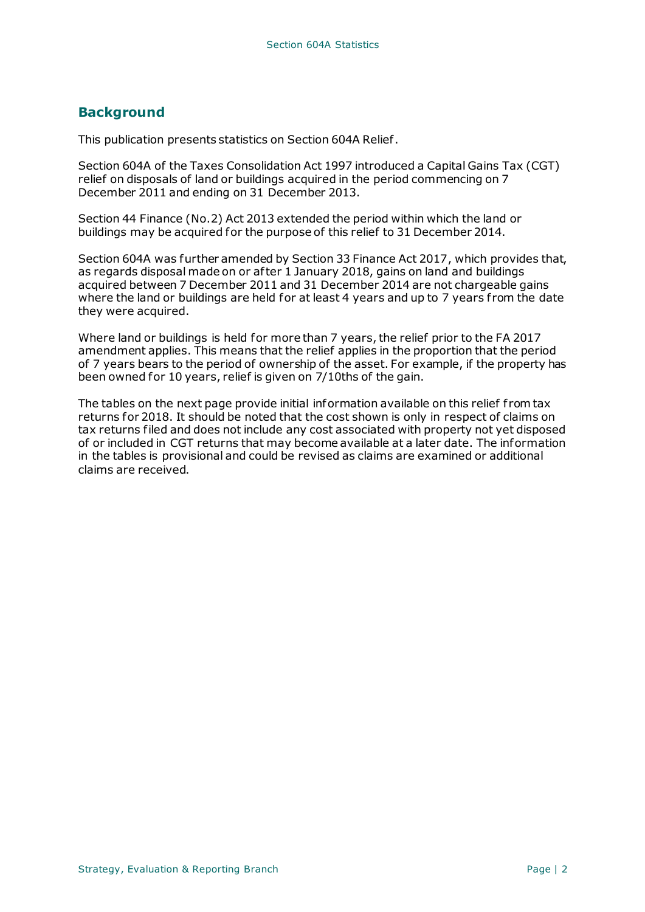#### **Background**

This publication presents statistics on Section 604A Relief .

Section 604A of the Taxes Consolidation Act 1997 introduced a Capital Gains Tax (CGT) relief on disposals of land or buildings acquired in the period commencing on 7 December 2011 and ending on 31 December 2013.

Section 44 Finance (No.2) Act 2013 extended the period within which the land or buildings may be acquired for the purpose of this relief to 31 December 2014.

Section 604A was further amended by Section 33 Finance Act 2017, which provides that, as regards disposal made on or af ter 1 January 2018, gains on land and buildings acquired between 7 December 2011 and 31 December 2014 are not chargeable gains where the land or buildings are held for at least 4 years and up to 7 years from the date they were acquired.

Where land or buildings is held for more than 7 years, the relief prior to the FA 2017 amendment applies. This means that the relief applies in the proportion that the period of 7 years bears to the period of ownership of the asset. For example, if the property has been owned for 10 years, relief is given on 7/10ths of the gain.

The tables on the next page provide initial information available on this relief from tax returns for 2018. It should be noted that the cost shown is only in respect of claims on tax returns filed and does not include any cost associated with property not yet disposed of or included in CGT returns that may become available at a later date. The information in the tables is provisional and could be revised as claims are examined or additional claims are received.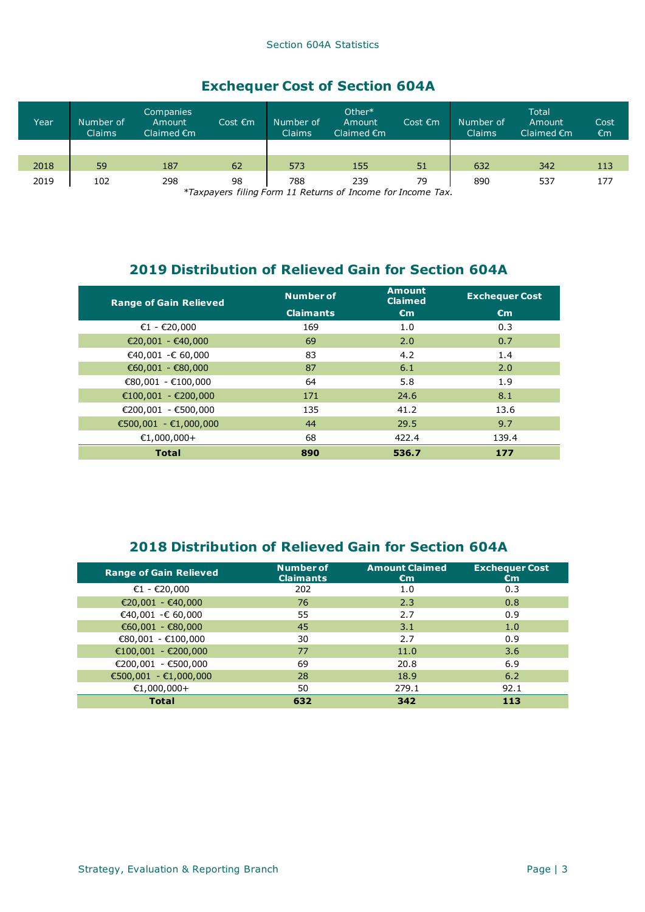## **Exchequer Cost of Section 604A**

| Year   | Number of<br>Claims | <b>Companies</b><br>Amount<br>Claimed $\epsilon$ m | Cost $\epsilon$ m | Number of<br><b>Claims</b> | Other*<br>Amount<br>Claimed $\epsilon$ m | Cost $\epsilon$ m | Number of<br><b>Claims</b> | Total<br>Amount<br>Claimed $\epsilon$ m | Cost<br>€m |
|--------|---------------------|----------------------------------------------------|-------------------|----------------------------|------------------------------------------|-------------------|----------------------------|-----------------------------------------|------------|
|        |                     |                                                    |                   |                            |                                          |                   |                            |                                         |            |
| 2018   | 59                  | 187                                                | 62                | 573                        | 155                                      | 51                | 632                        | 342                                     | 113        |
| 2019   | 102                 | 298                                                | 98                | 788                        | 239                                      | 79                | 890                        | 537                                     | 177        |
| $*T_2$ |                     |                                                    |                   |                            |                                          |                   |                            |                                         |            |

*\*Taxpayers filing Form 11 Returns of Income for Income Tax.*

### **2019 Distribution of Relieved Gain for Section 604A**

| <b>Range of Gain Relieved</b> | <b>Number of</b> | <b>Amount</b><br><b>Claimed</b> | <b>Exchequer Cost</b> |
|-------------------------------|------------------|---------------------------------|-----------------------|
|                               | <b>Claimants</b> | $\epsilon$ m                    | $\epsilon$ m          |
| €1 - €20,000                  | 169              | 1.0                             | 0.3                   |
| €20,001 - €40,000             | 69               | 2.0                             | 0.7                   |
| €40,001 -€ 60,000             | 83               | 4.2                             | 1.4                   |
| €60,001 - €80,000             | 87               | 6.1                             | 2.0                   |
| €80,001 - €100,000            | 64               | 5.8                             | 1.9                   |
| €100,001 - €200,000           | 171              | 24.6                            | 8.1                   |
| €200,001 - €500,000           | 135              | 41.2                            | 13.6                  |
| €500,001 - €1,000,000         | 44               | 29.5                            | 9.7                   |
| €1,000,000+                   | 68               | 422.4                           | 139.4                 |
| <b>Total</b>                  | 890              | 536.7                           | 177                   |

## **2018 Distribution of Relieved Gain for Section 604A**

| <b>Range of Gain Relieved</b> | <b>Number of</b><br><b>Claimants</b> | <b>Amount Claimed</b><br>€m | <b>Exchequer Cost</b><br>€m |
|-------------------------------|--------------------------------------|-----------------------------|-----------------------------|
| €1 - €20,000                  | 202                                  | 1.0                         | 0.3                         |
| €20,001 - €40,000             | 76                                   | 2.3                         | 0.8                         |
| €40,001 -€ 60,000             | 55                                   | 2.7                         | 0.9                         |
| €60,001 - €80,000             | 45                                   | 3.1                         | 1.0                         |
| €80,001 - €100,000            | 30                                   | 2.7                         | 0.9                         |
| €100,001 - €200,000           | 77                                   | 11.0                        | 3.6                         |
| €200,001 - €500,000           | 69                                   | 20.8                        | 6.9                         |
| €500,001 - €1,000,000         | 28                                   | 18.9                        | 6.2                         |
| €1,000,000+                   | 50                                   | 279.1                       | 92.1                        |
| <b>Total</b>                  | 632                                  | 342                         | 113                         |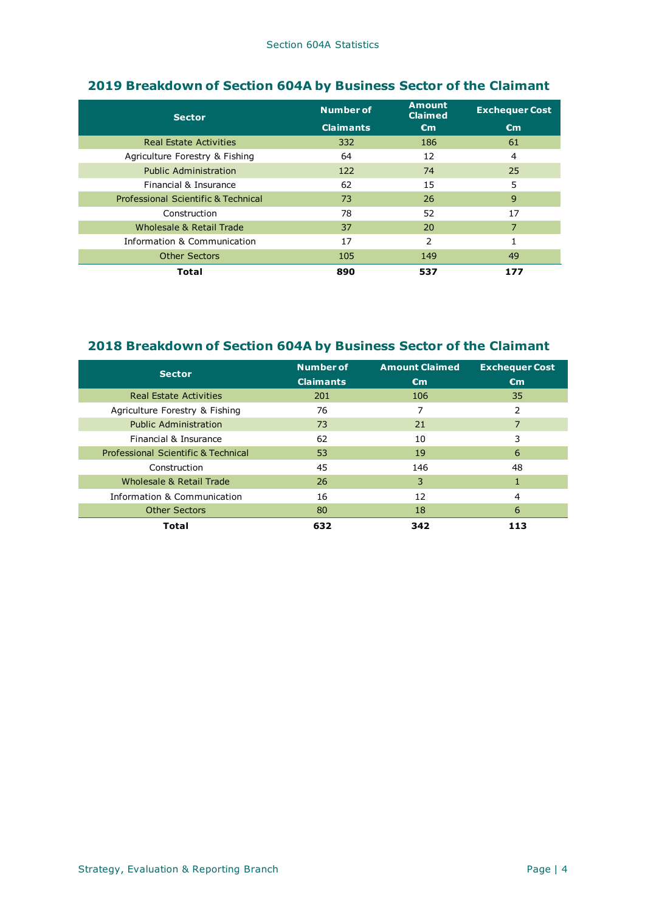| <b>Sector</b>                       | <b>Number of</b> | <b>Amount</b><br><b>Claimed</b> | <b>Exchequer Cost</b> |
|-------------------------------------|------------------|---------------------------------|-----------------------|
|                                     | <b>Claimants</b> | $\epsilon$ m                    | $\epsilon$ m          |
| <b>Real Estate Activities</b>       | 332              | 186                             | 61                    |
| Agriculture Forestry & Fishing      | 64               | 12                              | 4                     |
| <b>Public Administration</b>        | 122              | 74                              | 25                    |
| Financial & Insurance               | 62               | 15                              | 5                     |
| Professional Scientific & Technical | 73               | 26                              | 9                     |
| Construction                        | 78               | 52                              | 17                    |
| Wholesale & Retail Trade            | 37               | 20                              | 7                     |
| Information & Communication         | 17               | 2                               |                       |
| <b>Other Sectors</b>                | 105              | 149                             | 49                    |
| Total                               | 890              | 537                             | 177                   |

## **2019 Breakdown of Section 604A by Business Sector of the Claimant**

#### **2018 Breakdown of Section 604A by Business Sector of the Claimant**

| <b>Sector</b>                       | <b>Number of</b><br><b>Claimants</b> | <b>Amount Claimed</b><br>€m | <b>Exchequer Cost</b><br>$\epsilon$ m |
|-------------------------------------|--------------------------------------|-----------------------------|---------------------------------------|
| <b>Real Estate Activities</b>       | 201                                  | 106                         | 35                                    |
| Agriculture Forestry & Fishing      | 76                                   |                             | 2                                     |
| <b>Public Administration</b>        | 73                                   | 21                          |                                       |
| Financial & Insurance               | 62                                   | 10                          |                                       |
| Professional Scientific & Technical | 53                                   | 19                          | 6                                     |
| Construction                        | 45                                   | 146                         | 48                                    |
| Wholesale & Retail Trade            | 26                                   | 3                           |                                       |
| Information & Communication         | 16                                   | 12                          | 4                                     |
| <b>Other Sectors</b>                | 80                                   | 18                          | 6                                     |
| <b>Total</b>                        | 632                                  | 342                         | 113                                   |